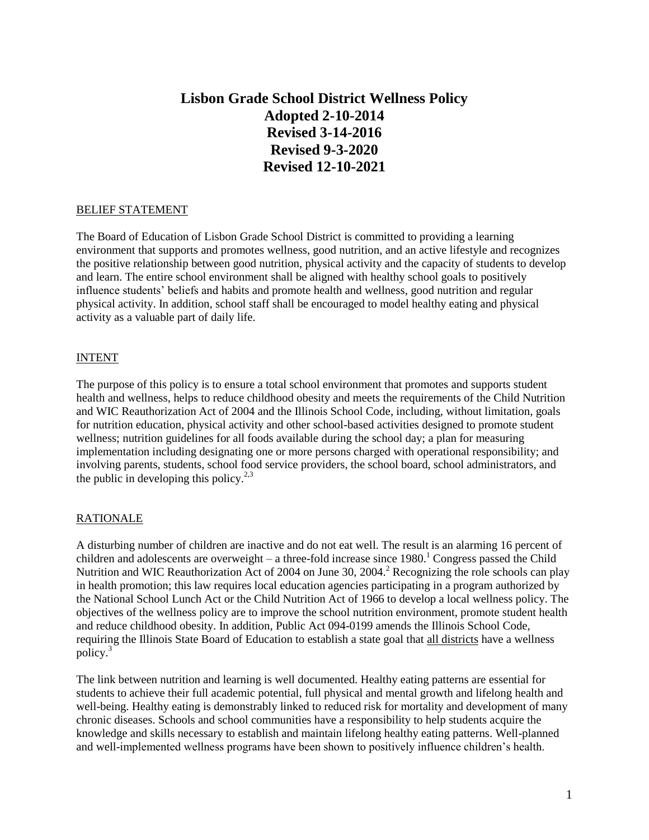# **Lisbon Grade School District Wellness Policy Adopted 2-10-2014 Revised 3-14-2016 Revised 9-3-2020 Revised 12-10-2021**

#### BELIEF STATEMENT

The Board of Education of Lisbon Grade School District is committed to providing a learning environment that supports and promotes wellness, good nutrition, and an active lifestyle and recognizes the positive relationship between good nutrition, physical activity and the capacity of students to develop and learn. The entire school environment shall be aligned with healthy school goals to positively influence students' beliefs and habits and promote health and wellness, good nutrition and regular physical activity. In addition, school staff shall be encouraged to model healthy eating and physical activity as a valuable part of daily life.

#### INTENT

The purpose of this policy is to ensure a total school environment that promotes and supports student health and wellness, helps to reduce childhood obesity and meets the requirements of the Child Nutrition and WIC Reauthorization Act of 2004 and the Illinois School Code, including, without limitation, goals for nutrition education, physical activity and other school-based activities designed to promote student wellness; nutrition guidelines for all foods available during the school day; a plan for measuring implementation including designating one or more persons charged with operational responsibility; and involving parents, students, school food service providers, the school board, school administrators, and the public in developing this policy.<sup>2,3</sup>

#### **RATIONALE**

A disturbing number of children are inactive and do not eat well. The result is an alarming 16 percent of children and adolescents are overweight – a three-fold increase since  $1980$ .<sup>1</sup> Congress passed the Child Nutrition and WIC Reauthorization Act of 2004 on June 30, 2004.<sup>2</sup> Recognizing the role schools can play in health promotion; this law requires local education agencies participating in a program authorized by the National School Lunch Act or the Child Nutrition Act of 1966 to develop a local wellness policy. The objectives of the wellness policy are to improve the school nutrition environment, promote student health and reduce childhood obesity. In addition, Public Act 094-0199 amends the Illinois School Code, requiring the Illinois State Board of Education to establish a state goal that all districts have a wellness policy.<sup>3</sup>

The link between nutrition and learning is well documented. Healthy eating patterns are essential for students to achieve their full academic potential, full physical and mental growth and lifelong health and well-being. Healthy eating is demonstrably linked to reduced risk for mortality and development of many chronic diseases. Schools and school communities have a responsibility to help students acquire the knowledge and skills necessary to establish and maintain lifelong healthy eating patterns. Well-planned and well-implemented wellness programs have been shown to positively influence children's health.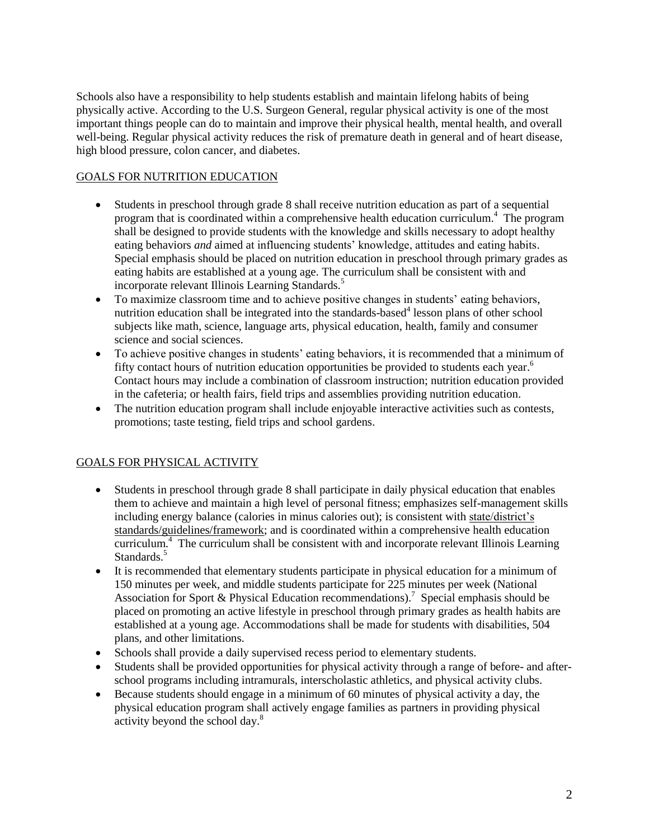Schools also have a responsibility to help students establish and maintain lifelong habits of being physically active. According to the U.S. Surgeon General, regular physical activity is one of the most important things people can do to maintain and improve their physical health, mental health, and overall well-being. Regular physical activity reduces the risk of premature death in general and of heart disease, high blood pressure, colon cancer, and diabetes.

### GOALS FOR NUTRITION EDUCATION

- Students in preschool through grade 8 shall receive nutrition education as part of a sequential program that is coordinated within a comprehensive health education curriculum. <sup>4</sup> The program shall be designed to provide students with the knowledge and skills necessary to adopt healthy eating behaviors *and* aimed at influencing students' knowledge, attitudes and eating habits. Special emphasis should be placed on nutrition education in preschool through primary grades as eating habits are established at a young age. The curriculum shall be consistent with and incorporate relevant Illinois Learning Standards.<sup>5</sup>
- To maximize classroom time and to achieve positive changes in students' eating behaviors, nutrition education shall be integrated into the standards-based<sup>4</sup> lesson plans of other school subjects like math, science, language arts, physical education, health, family and consumer science and social sciences.
- To achieve positive changes in students' eating behaviors, it is recommended that a minimum of fifty contact hours of nutrition education opportunities be provided to students each year.<sup>6</sup> Contact hours may include a combination of classroom instruction; nutrition education provided in the cafeteria; or health fairs, field trips and assemblies providing nutrition education.
- The nutrition education program shall include enjoyable interactive activities such as contests, promotions; taste testing, field trips and school gardens.

### GOALS FOR PHYSICAL ACTIVITY

- Students in preschool through grade 8 shall participate in daily physical education that enables them to achieve and maintain a high level of personal fitness; emphasizes self-management skills including energy balance (calories in minus calories out); is consistent with state/district's standards/guidelines/framework; and is coordinated within a comprehensive health education curriculum.<sup>4</sup> The curriculum shall be consistent with and incorporate relevant Illinois Learning Standards.<sup>5</sup>
- It is recommended that elementary students participate in physical education for a minimum of 150 minutes per week, and middle students participate for 225 minutes per week (National Association for Sport & Physical Education recommendations).<sup>7</sup> Special emphasis should be placed on promoting an active lifestyle in preschool through primary grades as health habits are established at a young age. Accommodations shall be made for students with disabilities, 504 plans, and other limitations.
- Schools shall provide a daily supervised recess period to elementary students.
- Students shall be provided opportunities for physical activity through a range of before- and afterschool programs including intramurals, interscholastic athletics, and physical activity clubs.
- Because students should engage in a minimum of 60 minutes of physical activity a day, the physical education program shall actively engage families as partners in providing physical activity beyond the school day.<sup>8</sup>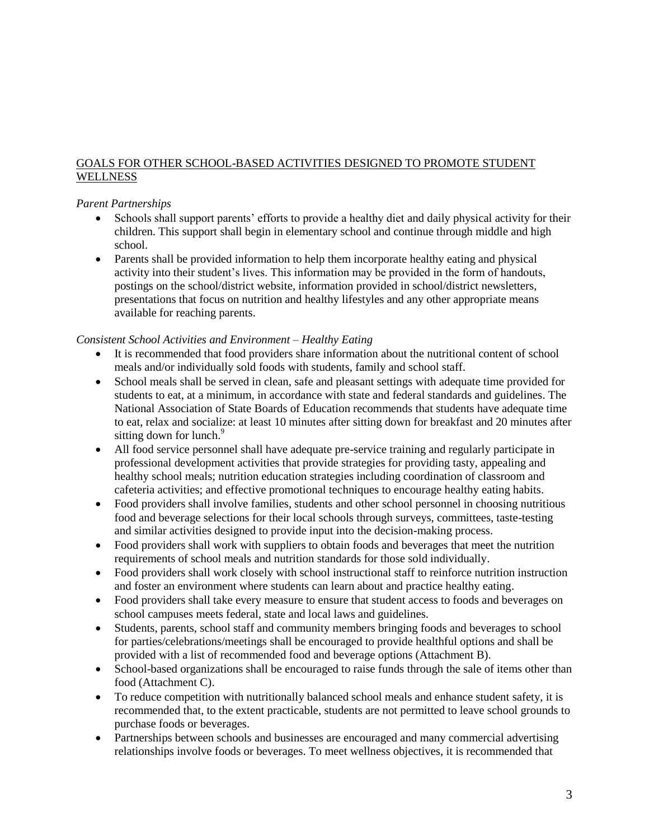### GOALS FOR OTHER SCHOOL-BASED ACTIVITIES DESIGNED TO PROMOTE STUDENT **WELLNESS**

#### *Parent Partnerships*

- Schools shall support parents' efforts to provide a healthy diet and daily physical activity for their children. This support shall begin in elementary school and continue through middle and high school.
- Parents shall be provided information to help them incorporate healthy eating and physical activity into their student's lives. This information may be provided in the form of handouts, postings on the school/district website, information provided in school/district newsletters, presentations that focus on nutrition and healthy lifestyles and any other appropriate means available for reaching parents.

#### *Consistent School Activities and Environment – Healthy Eating*

- It is recommended that food providers share information about the nutritional content of school meals and/or individually sold foods with students, family and school staff.
- School meals shall be served in clean, safe and pleasant settings with adequate time provided for students to eat, at a minimum, in accordance with state and federal standards and guidelines. The National Association of State Boards of Education recommends that students have adequate time to eat, relax and socialize: at least 10 minutes after sitting down for breakfast and 20 minutes after sitting down for lunch.<sup>9</sup>
- All food service personnel shall have adequate pre-service training and regularly participate in professional development activities that provide strategies for providing tasty, appealing and healthy school meals; nutrition education strategies including coordination of classroom and cafeteria activities; and effective promotional techniques to encourage healthy eating habits.
- Food providers shall involve families, students and other school personnel in choosing nutritious food and beverage selections for their local schools through surveys, committees, taste-testing and similar activities designed to provide input into the decision-making process.
- Food providers shall work with suppliers to obtain foods and beverages that meet the nutrition requirements of school meals and nutrition standards for those sold individually.
- Food providers shall work closely with school instructional staff to reinforce nutrition instruction and foster an environment where students can learn about and practice healthy eating.
- Food providers shall take every measure to ensure that student access to foods and beverages on school campuses meets federal, state and local laws and guidelines.
- Students, parents, school staff and community members bringing foods and beverages to school for parties/celebrations/meetings shall be encouraged to provide healthful options and shall be provided with a list of recommended food and beverage options (Attachment B).
- School-based organizations shall be encouraged to raise funds through the sale of items other than food (Attachment C).
- To reduce competition with nutritionally balanced school meals and enhance student safety, it is recommended that, to the extent practicable, students are not permitted to leave school grounds to purchase foods or beverages.
- Partnerships between schools and businesses are encouraged and many commercial advertising relationships involve foods or beverages. To meet wellness objectives, it is recommended that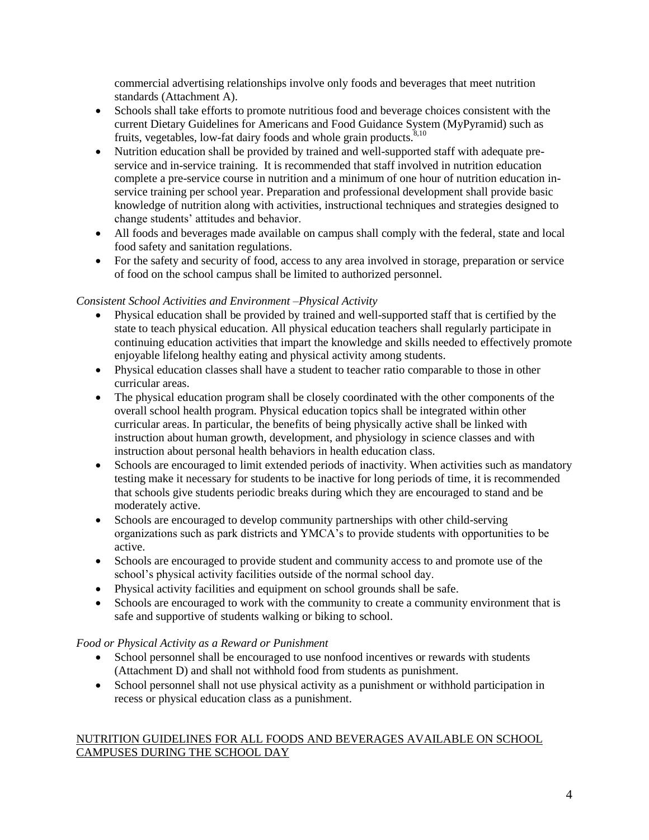commercial advertising relationships involve only foods and beverages that meet nutrition standards (Attachment A).

- Schools shall take efforts to promote nutritious food and beverage choices consistent with the current Dietary Guidelines for Americans and Food Guidance System (MyPyramid) such as fruits, vegetables, low-fat dairy foods and whole grain products.<sup>8,10</sup>
- Nutrition education shall be provided by trained and well-supported staff with adequate preservice and in-service training. It is recommended that staff involved in nutrition education complete a pre-service course in nutrition and a minimum of one hour of nutrition education inservice training per school year. Preparation and professional development shall provide basic knowledge of nutrition along with activities, instructional techniques and strategies designed to change students' attitudes and behavior.
- All foods and beverages made available on campus shall comply with the federal, state and local food safety and sanitation regulations.
- For the safety and security of food, access to any area involved in storage, preparation or service of food on the school campus shall be limited to authorized personnel.

### *Consistent School Activities and Environment –Physical Activity*

- Physical education shall be provided by trained and well-supported staff that is certified by the state to teach physical education. All physical education teachers shall regularly participate in continuing education activities that impart the knowledge and skills needed to effectively promote enjoyable lifelong healthy eating and physical activity among students.
- Physical education classes shall have a student to teacher ratio comparable to those in other curricular areas.
- The physical education program shall be closely coordinated with the other components of the overall school health program. Physical education topics shall be integrated within other curricular areas. In particular, the benefits of being physically active shall be linked with instruction about human growth, development, and physiology in science classes and with instruction about personal health behaviors in health education class.
- Schools are encouraged to limit extended periods of inactivity. When activities such as mandatory testing make it necessary for students to be inactive for long periods of time, it is recommended that schools give students periodic breaks during which they are encouraged to stand and be moderately active.
- Schools are encouraged to develop community partnerships with other child-serving organizations such as park districts and YMCA's to provide students with opportunities to be active.
- Schools are encouraged to provide student and community access to and promote use of the school's physical activity facilities outside of the normal school day.
- Physical activity facilities and equipment on school grounds shall be safe.
- Schools are encouraged to work with the community to create a community environment that is safe and supportive of students walking or biking to school.

### *Food or Physical Activity as a Reward or Punishment*

- School personnel shall be encouraged to use nonfood incentives or rewards with students (Attachment D) and shall not withhold food from students as punishment.
- School personnel shall not use physical activity as a punishment or withhold participation in recess or physical education class as a punishment.

#### NUTRITION GUIDELINES FOR ALL FOODS AND BEVERAGES AVAILABLE ON SCHOOL CAMPUSES DURING THE SCHOOL DAY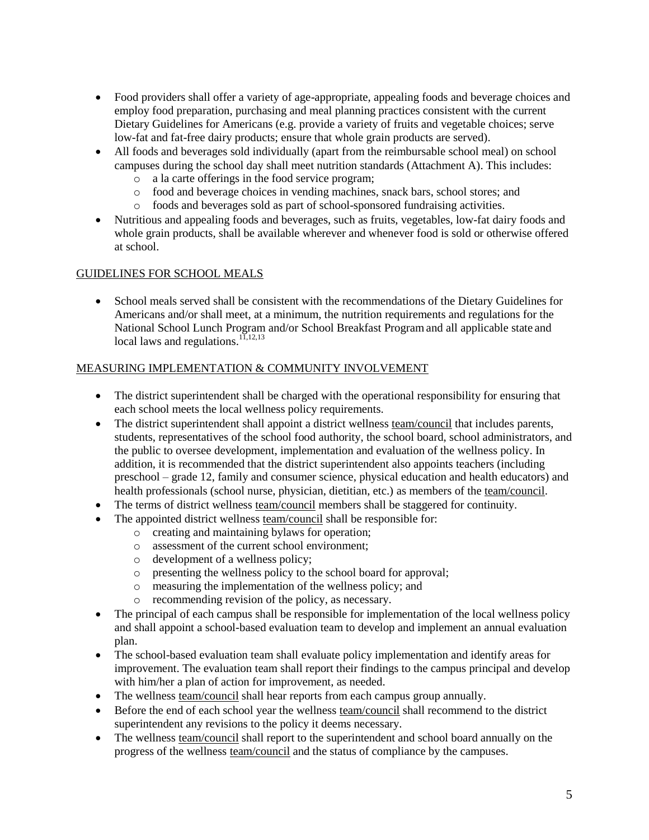- Food providers shall offer a variety of age-appropriate, appealing foods and beverage choices and employ food preparation, purchasing and meal planning practices consistent with the current Dietary Guidelines for Americans (e.g. provide a variety of fruits and vegetable choices; serve low-fat and fat-free dairy products; ensure that whole grain products are served).
- All foods and beverages sold individually (apart from the reimbursable school meal) on school campuses during the school day shall meet nutrition standards (Attachment A). This includes:
	- o a la carte offerings in the food service program;
	- o food and beverage choices in vending machines, snack bars, school stores; and
	- o foods and beverages sold as part of school-sponsored fundraising activities.
- Nutritious and appealing foods and beverages, such as fruits, vegetables, low-fat dairy foods and whole grain products, shall be available wherever and whenever food is sold or otherwise offered at school.

### GUIDELINES FOR SCHOOL MEALS

 School meals served shall be consistent with the recommendations of the Dietary Guidelines for Americans and/or shall meet, at a minimum, the nutrition requirements and regulations for the National School Lunch Program and/or School Breakfast Program and all applicable state and local laws and regulations.  $^{11,12,13}$ 

### MEASURING IMPLEMENTATION & COMMUNITY INVOLVEMENT

- The district superintendent shall be charged with the operational responsibility for ensuring that each school meets the local wellness policy requirements.
- The district superintendent shall appoint a district wellness team/council that includes parents, students, representatives of the school food authority, the school board, school administrators, and the public to oversee development, implementation and evaluation of the wellness policy. In addition, it is recommended that the district superintendent also appoints teachers (including preschool – grade 12, family and consumer science, physical education and health educators) and health professionals (school nurse, physician, dietitian, etc.) as members of the team/council.
- The terms of district wellness team/council members shall be staggered for continuity.
- The appointed district wellness team/council shall be responsible for:
	- o creating and maintaining bylaws for operation;
	- o assessment of the current school environment;
	- o development of a wellness policy;
	- o presenting the wellness policy to the school board for approval;
	- o measuring the implementation of the wellness policy; and
	- o recommending revision of the policy, as necessary.
- The principal of each campus shall be responsible for implementation of the local wellness policy and shall appoint a school-based evaluation team to develop and implement an annual evaluation plan.
- The school-based evaluation team shall evaluate policy implementation and identify areas for improvement. The evaluation team shall report their findings to the campus principal and develop with him/her a plan of action for improvement, as needed.
- The wellness team/council shall hear reports from each campus group annually.
- Before the end of each school year the wellness team/council shall recommend to the district superintendent any revisions to the policy it deems necessary.
- The wellness team/council shall report to the superintendent and school board annually on the progress of the wellness team/council and the status of compliance by the campuses.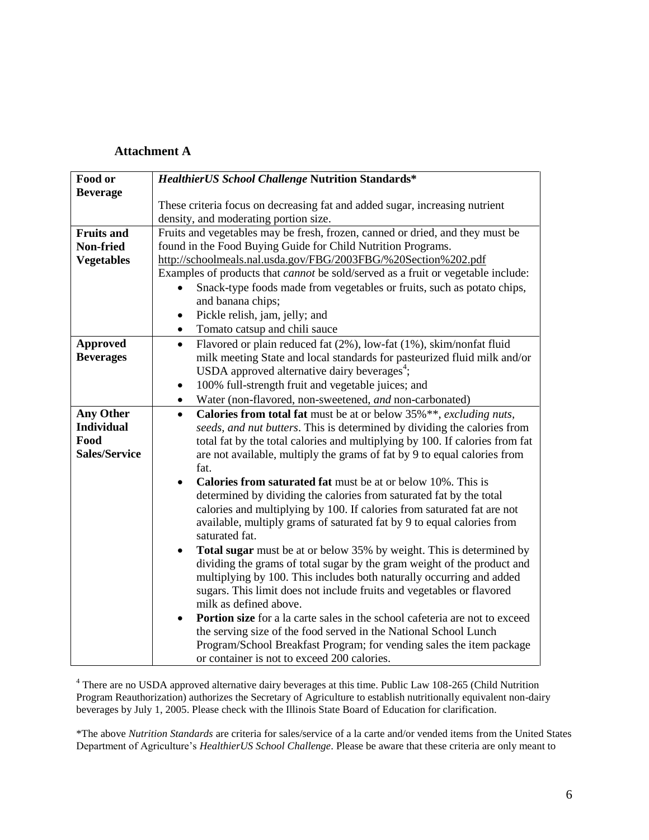#### **Attachment A**

| Food or              | <b>HealthierUS School Challenge Nutrition Standards*</b>                                        |
|----------------------|-------------------------------------------------------------------------------------------------|
| <b>Beverage</b>      |                                                                                                 |
|                      | These criteria focus on decreasing fat and added sugar, increasing nutrient                     |
|                      | density, and moderating portion size.                                                           |
| <b>Fruits and</b>    | Fruits and vegetables may be fresh, frozen, canned or dried, and they must be                   |
| Non-fried            | found in the Food Buying Guide for Child Nutrition Programs.                                    |
| <b>Vegetables</b>    | http://schoolmeals.nal.usda.gov/FBG/2003FBG/%20Section%202.pdf                                  |
|                      | Examples of products that <i>cannot</i> be sold/served as a fruit or vegetable include:         |
|                      | Snack-type foods made from vegetables or fruits, such as potato chips,                          |
|                      | and banana chips;                                                                               |
|                      | Pickle relish, jam, jelly; and<br>٠                                                             |
|                      | Tomato catsup and chili sauce<br>$\bullet$                                                      |
| <b>Approved</b>      | Flavored or plain reduced fat (2%), low-fat (1%), skim/nonfat fluid<br>$\bullet$                |
| <b>Beverages</b>     | milk meeting State and local standards for pasteurized fluid milk and/or                        |
|                      | USDA approved alternative dairy beverages <sup>4</sup> ;                                        |
|                      | 100% full-strength fruit and vegetable juices; and<br>$\bullet$                                 |
|                      | Water (non-flavored, non-sweetened, and non-carbonated)<br>$\bullet$                            |
| <b>Any Other</b>     | Calories from total fat must be at or below 35%**, excluding nuts,<br>$\bullet$                 |
| <b>Individual</b>    | seeds, and nut butters. This is determined by dividing the calories from                        |
| Food                 | total fat by the total calories and multiplying by 100. If calories from fat                    |
| <b>Sales/Service</b> | are not available, multiply the grams of fat by 9 to equal calories from                        |
|                      | fat.                                                                                            |
|                      | <b>Calories from saturated fat</b> must be at or below 10%. This is<br>$\bullet$                |
|                      | determined by dividing the calories from saturated fat by the total                             |
|                      | calories and multiplying by 100. If calories from saturated fat are not                         |
|                      | available, multiply grams of saturated fat by 9 to equal calories from                          |
|                      | saturated fat.                                                                                  |
|                      | <b>Total sugar</b> must be at or below 35% by weight. This is determined by<br>$\bullet$        |
|                      | dividing the grams of total sugar by the gram weight of the product and                         |
|                      | multiplying by 100. This includes both naturally occurring and added                            |
|                      | sugars. This limit does not include fruits and vegetables or flavored                           |
|                      | milk as defined above.                                                                          |
|                      | <b>Portion size</b> for a la carte sales in the school cafeteria are not to exceed<br>$\bullet$ |
|                      | the serving size of the food served in the National School Lunch                                |
|                      | Program/School Breakfast Program; for vending sales the item package                            |
|                      | or container is not to exceed 200 calories.                                                     |

<sup>4</sup> There are no USDA approved alternative dairy beverages at this time. Public Law 108-265 (Child Nutrition Program Reauthorization) authorizes the Secretary of Agriculture to establish nutritionally equivalent non-dairy beverages by July 1, 2005. Please check with the Illinois State Board of Education for clarification.

\*The above *Nutrition Standards* are criteria for sales/service of a la carte and/or vended items from the United States Department of Agriculture's *HealthierUS School Challenge*. Please be aware that these criteria are only meant to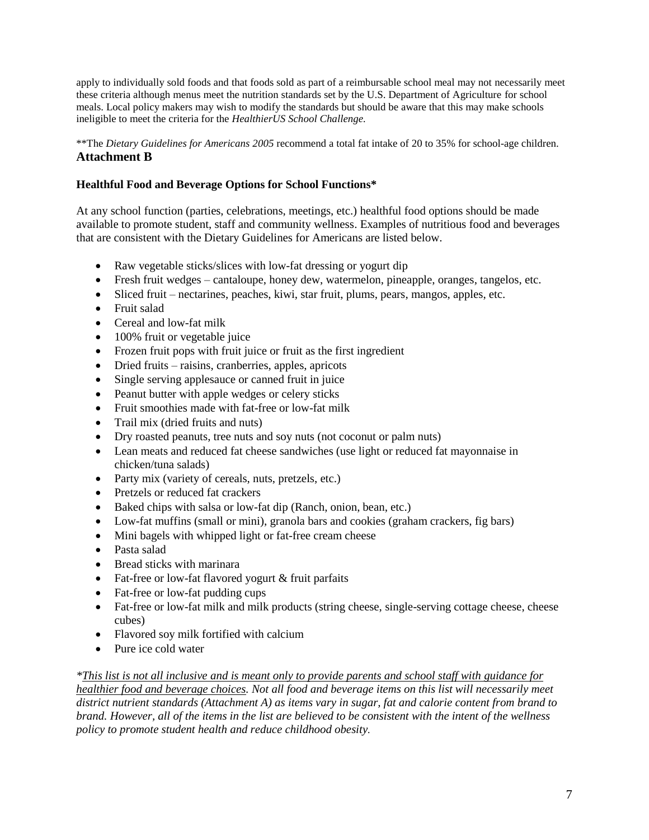apply to individually sold foods and that foods sold as part of a reimbursable school meal may not necessarily meet these criteria although menus meet the nutrition standards set by the U.S. Department of Agriculture for school meals. Local policy makers may wish to modify the standards but should be aware that this may make schools ineligible to meet the criteria for the *HealthierUS School Challenge.*

\*\*The *Dietary Guidelines for Americans 2005* recommend a total fat intake of 20 to 35% for school-age children. **Attachment B**

#### **Healthful Food and Beverage Options for School Functions\***

At any school function (parties, celebrations, meetings, etc.) healthful food options should be made available to promote student, staff and community wellness. Examples of nutritious food and beverages that are consistent with the Dietary Guidelines for Americans are listed below.

- Raw vegetable sticks/slices with low-fat dressing or yogurt dip
- Fresh fruit wedges cantaloupe, honey dew, watermelon, pineapple, oranges, tangelos, etc.
- Sliced fruit nectarines, peaches, kiwi, star fruit, plums, pears, mangos, apples, etc.
- Fruit salad
- Cereal and low-fat milk
- 100% fruit or vegetable juice
- Frozen fruit pops with fruit juice or fruit as the first ingredient
- Dried fruits raisins, cranberries, apples, apricots
- Single serving applesauce or canned fruit in juice
- Peanut butter with apple wedges or celery sticks
- Fruit smoothies made with fat-free or low-fat milk
- Trail mix (dried fruits and nuts)
- Dry roasted peanuts, tree nuts and soy nuts (not coconut or palm nuts)
- Lean meats and reduced fat cheese sandwiches (use light or reduced fat mayonnaise in chicken/tuna salads)
- Party mix (variety of cereals, nuts, pretzels, etc.)
- Pretzels or reduced fat crackers
- Baked chips with salsa or low-fat dip (Ranch, onion, bean, etc.)
- Low-fat muffins (small or mini), granola bars and cookies (graham crackers, fig bars)
- Mini bagels with whipped light or fat-free cream cheese
- Pasta salad
- Bread sticks with marinara
- Fat-free or low-fat flavored yogurt & fruit parfaits
- Fat-free or low-fat pudding cups
- Fat-free or low-fat milk and milk products (string cheese, single-serving cottage cheese, cheese cubes)
- Flavored soy milk fortified with calcium
- Pure ice cold water

*\*This list is not all inclusive and is meant only to provide parents and school staff with guidance for healthier food and beverage choices. Not all food and beverage items on this list will necessarily meet district nutrient standards (Attachment A) as items vary in sugar, fat and calorie content from brand to brand. However, all of the items in the list are believed to be consistent with the intent of the wellness policy to promote student health and reduce childhood obesity.*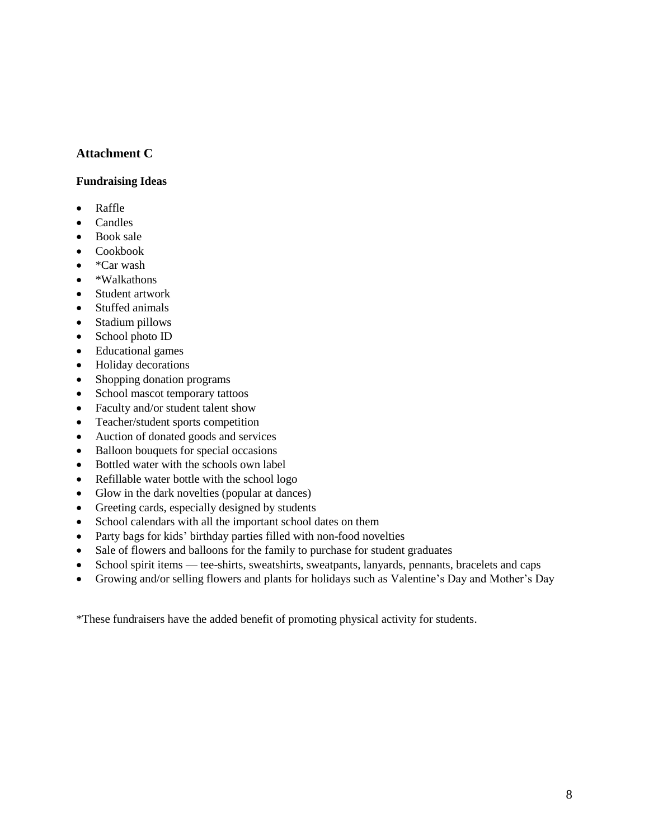### **Attachment C**

#### **Fundraising Ideas**

- Raffle
- Candles
- Book sale
- Cookbook
- $\bullet$  \*Car wash
- \*Walkathons
- Student artwork
- Stuffed animals
- Stadium pillows
- School photo ID
- Educational games
- Holiday decorations
- Shopping donation programs
- School mascot temporary tattoos
- Faculty and/or student talent show
- Teacher/student sports competition
- Auction of donated goods and services
- Balloon bouquets for special occasions
- Bottled water with the schools own label
- Refillable water bottle with the school logo
- Glow in the dark novelties (popular at dances)
- Greeting cards, especially designed by students
- School calendars with all the important school dates on them
- Party bags for kids' birthday parties filled with non-food novelties
- Sale of flowers and balloons for the family to purchase for student graduates
- School spirit items tee-shirts, sweatshirts, sweatpants, lanyards, pennants, bracelets and caps
- Growing and/or selling flowers and plants for holidays such as Valentine's Day and Mother's Day

\*These fundraisers have the added benefit of promoting physical activity for students.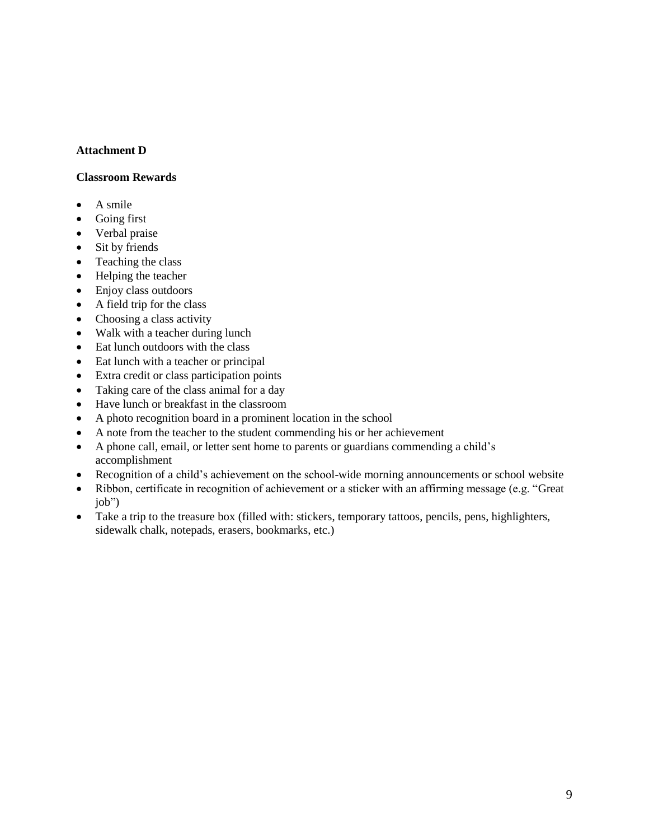#### **Attachment D**

#### **Classroom Rewards**

- A smile
- Going first
- Verbal praise
- Sit by friends
- Teaching the class
- Helping the teacher
- Enjoy class outdoors
- A field trip for the class
- Choosing a class activity
- Walk with a teacher during lunch
- Eat lunch outdoors with the class
- Eat lunch with a teacher or principal
- Extra credit or class participation points
- Taking care of the class animal for a day
- Have lunch or breakfast in the classroom
- A photo recognition board in a prominent location in the school
- A note from the teacher to the student commending his or her achievement
- A phone call, email, or letter sent home to parents or guardians commending a child's accomplishment
- Recognition of a child's achievement on the school-wide morning announcements or school website
- Ribbon, certificate in recognition of achievement or a sticker with an affirming message (e.g. "Great job")
- Take a trip to the treasure box (filled with: stickers, temporary tattoos, pencils, pens, highlighters, sidewalk chalk, notepads, erasers, bookmarks, etc.)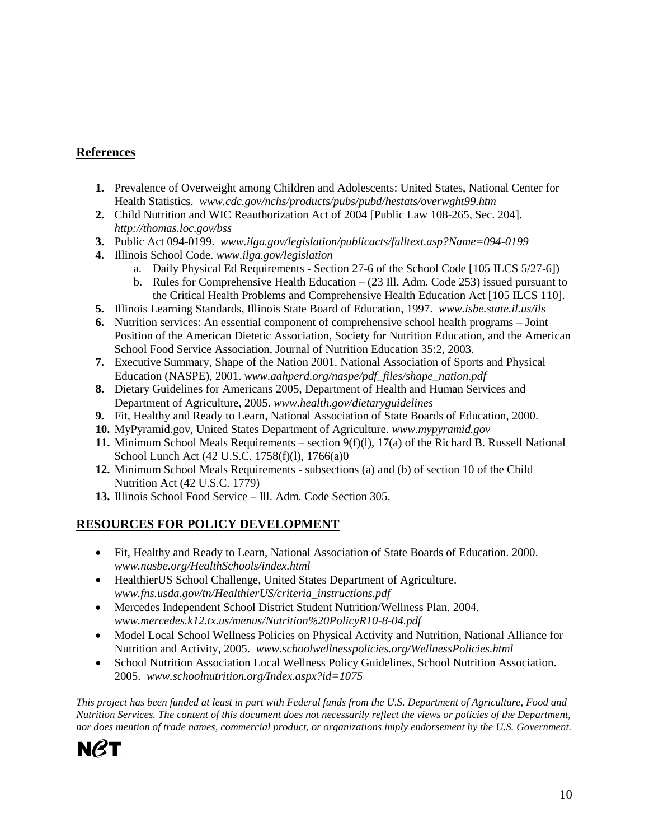## **References**

- **1.** Prevalence of Overweight among Children and Adolescents: United States, National Center for Health Statistics. *www.cdc.gov/nchs/products/pubs/pubd/hestats/overwght99.htm*
- **2.** Child Nutrition and WIC Reauthorization Act of 2004 [Public Law 108-265, Sec. 204]. *[http://thomas.loc.gov/bss](http://thomas.loc.gov/bss/d108laws.html)*
- **3.** Public Act 094-0199. *www.ilga.gov/legislation/publicacts/fulltext.asp?Name=094-0199*
- **4.** Illinois School Code. *www.ilga.gov/legislation*
	- a. Daily Physical Ed Requirements Section 27-6 of the School Code [105 ILCS 5/27-6])
	- b. Rules for Comprehensive Health Education (23 Ill. Adm. Code 253) issued pursuant to the Critical Health Problems and Comprehensive Health Education Act [105 ILCS 110].
- **5.** Illinois Learning Standards, Illinois State Board of Education, 1997. *www.isbe.state.il.us/ils*
- **6.** Nutrition services: An essential component of comprehensive school health programs Joint Position of the American Dietetic Association, Society for Nutrition Education, and the American School Food Service Association, Journal of Nutrition Education 35:2, 2003.
- **7.** Executive Summary, Shape of the Nation 2001. National Association of Sports and Physical Education (NASPE), 2001. *www.aahperd.org/naspe/pdf\_files/shape\_nation.pdf*
- **8.** Dietary Guidelines for Americans 2005, Department of Health and Human Services and Department of Agriculture, 2005. *www.health.gov/dietaryguidelines*
- **9.** Fit, Healthy and Ready to Learn, National Association of State Boards of Education, 2000.
- **10.** MyPyramid.gov, United States Department of Agriculture. *[www.mypyramid.gov](http://www.mypyramid.gov/)*
- **11.** Minimum School Meals Requirements section 9(f)(l), 17(a) of the Richard B. Russell National School Lunch Act (42 U.S.C. 1758(f)(l), 1766(a)0
- **12.** Minimum School Meals Requirements subsections (a) and (b) of section 10 of the Child Nutrition Act (42 U.S.C. 1779)
- **13.** Illinois School Food Service Ill. Adm. Code Section 305.

# **RESOURCES FOR POLICY DEVELOPMENT**

- Fit, Healthy and Ready to Learn, National Association of State Boards of Education. 2000. *www.nasbe.org/HealthSchools/index.html*
- HealthierUS School Challenge, United States Department of Agriculture. *[www.fns.usda.gov/tn/HealthierUS/criteria\\_instructions.pdf](http://www.fns.usda.gov/tn/HealthierUS/criteria_instructions.pdf)*
- Mercedes Independent School District Student Nutrition/Wellness Plan. 2004. *www.mercedes.k12.tx.us/menus/Nutrition%20PolicyR10-8-04.pdf*
- Model Local School Wellness Policies on Physical Activity and Nutrition, National Alliance for Nutrition and Activity, 2005. *www.schoolwellnesspolicies.org/WellnessPolicies.html*
- School Nutrition Association Local Wellness Policy Guidelines*,* School Nutrition Association. 2005. *www.schoolnutrition.org/Index.aspx?id=1075*

*This project has been funded at least in part with Federal funds from the U.S. Department of Agriculture, Food and Nutrition Services. The content of this document does not necessarily reflect the views or policies of the Department, nor does mention of trade names, commercial product, or organizations imply endorsement by the U.S. Government.*